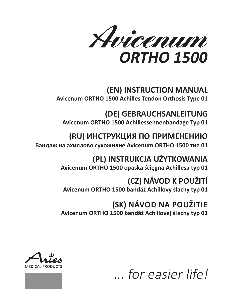Avicenum **ORTHO 1500** 

# **(EN) INSTRUCTION MANUAL**

**Avicenum ORTHO 1500 Achilles Tendon Orthosis Type 01**

# **(DE) GEBRAUCHSANLEITUNG**

**Avicenum ORTHO 1500 Achillessehnenbandage Typ 01**

# **(RU) ИНСТРУКЦИЯ ПО ПРИМЕНЕНИЮ**

**Бандаж на ахиллово сухожилие Avicenum ORTHO 1500 тип 01**

# **(PL) INSTRUKCJA UŻYTKOWANIA Avicenum ORTHO 1500 opaska ścięgna Achillesa typ 01**

# **(CZ) NÁVOD K POUŽITÍ**

**Avicenum ORTHO 1500 bandáž Achillovy šlachy typ 01**

# **(SK) NÁVOD NA POUŽITIE**

**Avicenum ORTHO 1500 bandáž Achillovej šľachy typ 01**





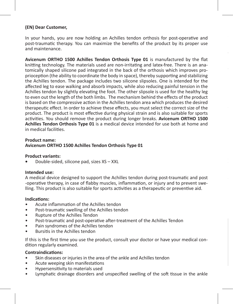# **(EN) Dear Customer,**

In your hands, you are now holding an Achilles tendon orthosis for post-operative and post-traumatic therapy. You can maximize the benefits of the product by its proper use and maintenance.

**Avicenum ORTHO 1500 Achilles Tendon Orthosis Type 01** is manufactured by the flat knitting technology. The materials used are non-irritating and latex-free. There is an anatomically shaped silicone pad integrated in the back of the orthosis which improves proprioception (the ability to coordinate the body in space), thereby supporting and stabilizing the Achilles tendon. The package includes two silicone slipsoles. One is intended for the affected leg to ease walking and absorb impacts, while also reducing painful tension in the Achilles tendon by slightly elevating the foot. The other slipsole is used for the healthy leg to even out the length of the both limbs. The mechanism behind the effects of the product is based on the compressive action in the Achilles tendon area which produces the desired therapeutic effect. In order to achieve these effects, you must select the correct size of the product. The product is most effective during physical strain and is also suitable for sports activities. You should remove the product during longer breaks. **Avicenum ORTHO 1500 Achilles Tendon Orthosis Type 01** is a medical device intended for use both at home and in medical facilities.

#### **Product name:**

#### **Avicenum ORTHO 1500 Achilles Tendon Orthosis Type 01**

#### **Product variants:**

**•** Double-sided, silicone pad, sizes XS – XXL

#### **Intended use:**

A medical device designed to support the Achilles tendon during post-traumatic and post -operative therapy, in case of flabby muscles, inflammation, or injury and to prevent swelling. This product is also suitable for sports activities as a therapeutic or preventive aid.

#### **Indications:**

- Acute inflammation of the Achilles tendon
- Post-traumatic swelling of the Achilles tendon
- Rupture of the Achilles Tendon
- Post-traumatic and post-operative after-treatment of the Achilles Tendon
- Pain syndromes of the Achilles tendon
- Bursitis in the Achilles tendon

If this is the first time you use the product, consult your doctor or have your medical condition regularly examined.

#### **Contraindications:**

- Skin diseases or injuries in the area of the ankle and Achilles tendon
- Acute weeping skin manifestations
- Hypersensitivity to materials used
- Lymphatic drainage disorders and unspecified swelling of the soft tissue in the ankle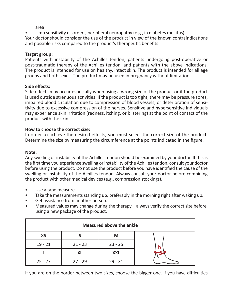area

Limb sensitivity disorders, peripheral neuropathy (e.g., in diabetes mellitus)

Your doctor should consider the use of the product in view of the known contraindications and possible risks compared to the product's therapeutic benefits.

#### **Target group:**

Patients with instability of the Achilles tendon, patients undergoing post-operative or post-traumatic therapy of the Achilles tendon, and patients with the above indications. The product is intended for use on healthy, intact skin. The product is intended for all age groups and both sexes. The product may be used in pregnancy without limitation.

#### **Side effects:**

Side effects may occur especially when using a wrong size of the product or if the product is used outside strenuous activities. If the product is too tight, there may be pressure sores, impaired blood circulation due to compression of blood vessels, or deterioration of sensitivity due to excessive compression of the nerves. Sensitive and hypersensitive individuals may experience skin irritation (redness, itching, or blistering) at the point of contact of the product with the skin.

#### **How to choose the correct size:**

In order to achieve the desired effects, you must select the correct size of the product. Determine the size by measuring the circumference at the points indicated in the figure.

#### **Note:**

Any swelling or instability of the Achilles tendon should be examined by your doctor. If this is the first time you experience swelling or instability of the Achilles tendon, consult your doctor before using the product. Do not use the product before you have identified the cause of the swelling or instability of the Achilles tendon. Always consult your doctor before combining the product with other medical devices (e.g., compression stockings).

- Use a tape measure.
- Take the measurements standing up, preferably in the morning right after waking up.
- Get assistance from another person.
- Measured values may change during the therapy always verify the correct size before using a new package of the product.

| Measured above the ankle |           |            |  |
|--------------------------|-----------|------------|--|
| ХS                       |           | м          |  |
| $19 - 21$                | $21 - 23$ | $23 - 25$  |  |
|                          | XL        | <b>XXL</b> |  |
| $25 - 27$                | $27 - 29$ | $29 - 31$  |  |

If you are on the border between two sizes, choose the bigger one. If you have difficulties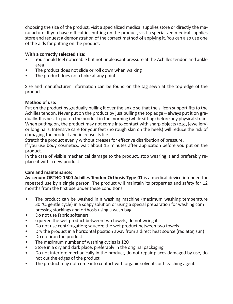choosing the size of the product, visit a specialized medical supplies store or directly the manufacturer.If you have difficulties putting on the product, visit a specialized medical supplies store and request a demonstration of the correct method of applying it. You can also use one of the aids for putting on the product.

# **With a correctly selected size:**

- You should feel noticeable but not unpleasant pressure at the Achilles tendon and ankle area
- The product does not slide or roll down when walking
- The product does not choke at any point

Size and manufacturer information can be found on the tag sewn at the top edge of the product.

# **Method of use:**

Put on the product by gradually pulling it over the ankle so that the silicon support fits to the Achilles tendon. Never put on the product by just pulling the top edge – always put it on gradually. It is best to put on the product in the morning (while sitting) before any physical strain. When putting on, the product may not come into contact with sharp objects (e.g., jewellery) or long nails. Intensive care for your feet (no rough skin on the heels) will reduce the risk of damaging the product and increase its life.

Stretch the product evenly without creases for effective distribution of pressure.

If you use body cosmetics, wait about 15 minutes after application before you put on the product.

In the case of visible mechanical damage to the product, stop wearing it and preferably replace it with a new product.

# **Care and maintenance:**

**Avicenum ORTHO 1500 Achilles Tendon Orthosis Type 01** is a medical device intended for repeated use by a single person. The product will maintain its properties and safety for 12 months from the first use under these conditions:

- The product can be washed in a washing machine (maximum washing temperature 30 °C, gentle cycle) in a soapy solution or using a special preparation for washing com pressing stockings and orthosis using a wash bag
- Do not use fabric softeners
- squeeze the wet product between two towels, do not wring it
- Do not use centrifugation; squeeze the wet product between two towels
- Dry the product in a horizontal position away from a direct heat source (radiator, sun)
- Do not iron the product
- The maximum number of washing cycles is 120
- Store in a dry and dark place, preferably in the original packaging
- Do not interfere mechanically in the product, do not repair places damaged by use, do not cut the edges of the product
- The product may not come into contact with organic solvents or bleaching agents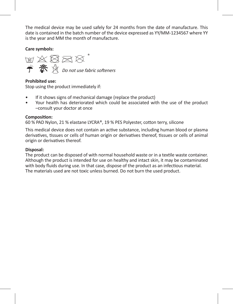The medical device may be used safely for 24 months from the date of manufacture. This date is contained in the batch number of the device expressed as YY/MM-1234567 where YY is the year and MM the month of manufacture.

**Care symbols:**

网络图案 **学 茶** ☆ *Do not use fabric softeners* 

# **Prohibited use:**

Stop using the product immediately if:

- If it shows signs of mechanical damage (replace the product)
- Your health has deteriorated which could be associated with the use of the product –consult your doctor at once

# **Composition:**

60 % PAD Nylon, 21 % elastane LYCRA®, 19 % PES Polyester, cotton terry, silicone

This medical device does not contain an active substance, including human blood or plasma derivatives, tissues or cells of human origin or derivatives thereof, tissues or cells of animal origin or derivatives thereof.

## **Disposal:**

The product can be disposed of with normal household waste or in a textile waste container. Although the product is intended for use on healthy and intact skin, it may be contaminated with body fluids during use. In that case, dispose of the product as an infectious material. The materials used are not toxic unless burned. Do not burn the used product.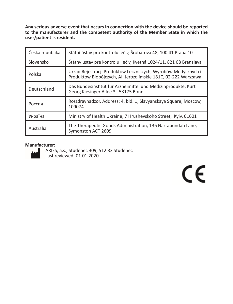**Any serious adverse event that occurs in connection with the device should be reported to the manufacturer and the competent authority of the Member State in which the user/patient is resident.**

| Česká republika | Státní ústav pro kontrolu léčiv, Šrobárova 48, 100 41 Praha 10                                                                  |  |
|-----------------|---------------------------------------------------------------------------------------------------------------------------------|--|
| Slovensko       | Štátny ústav pre kontrolu liečiv, Kvetná 1024/11, 821 08 Bratislava                                                             |  |
| Polska          | Urząd Rejestracji Produktów Leczniczych, Wyrobów Medycznych i<br>Produktów Biobójczych, Al. Jerozolimskie 181C, 02-222 Warszawa |  |
| Deutschland     | Das Bundesinstitut für Arzneimittel und Medizinprodukte, Kurt<br>Georg Kiesinger Allee 3, 53175 Bonn                            |  |
| Россия          | Roszdravnadzor, Address: 4, bld. 1, Slavyanskaya Square, Moscow,<br>109074                                                      |  |
| Україна         | Ministry of Health Ukraine, 7 Hrushevskoho Street, Kyiv, 01601                                                                  |  |
| Australia       | The Therapeutic Goods Administration, 136 Narrabundah Lane,<br>Symonston ACT 2609                                               |  |

# **Manufacturer:**



ARIES, a.s., Studenec 309, 512 33 Studenec Last reviewed: 01.01.2020

 $C \in$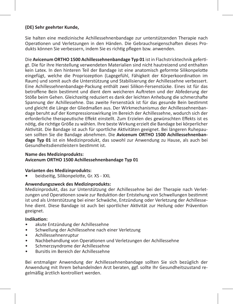# **(DE) Sehr geehrter Kunde,**

Sie halten eine medizinische Achillessehnenbandage zur unterstützenden Therapie nach Operationen und Verletzungen in den Händen. Die Gebrauchseigenschaften dieses Produkts können Sie verbessern, indem Sie es richtig pflegen bzw. anwenden.

Die **Avicenum ORTHO 1500 Achillessehnenbandage Typ 01** ist in Flachstricktechnik gefertigt. Die für ihre Herstellung verwendeten Materialien sind nicht hautreizend und enthalten kein Latex. In den hinteren Teil der Bandage ist eine anatomisch geformte Silikonpelotte eingefügt, welche die Propriozeption (Lagegefühl, Fähigkeit der Körperkoordination im Raum) und somit auch die Unterstützung und Stabilisierung der Achillessehne verbessert. Eine Achillessehnenbandage-Packung enthält zwei Silikon-Fersenstücke. Eines ist für das betroffene Bein bestimmt und dient dem weicheren Auftreten und der Abfederung der Stöße beim Gehen. Gleichzeitig reduziert es dank der leichten Anhebung die schmerzhafte Spannung der Achillessehne. Das zweite Fersenstück ist für das gesunde Bein bestimmt und gleicht die Länge der Gliedmaßen aus. Der Wirkmechanismus der Achillessehnenbandage beruht auf der Kompressionswirkung im Bereich der Achillessehne, wodurch sich der erforderliche therapeutische Effekt einstellt. Zum Erzielen des gewünschten Effekts ist es nötig, die richtige Größe zu wählen. Ihre beste Wirkung erzielt die Bandage bei körperlicher Aktivität. Die Bandage ist auch für sportliche Aktivitäten geeignet. Bei längeren Ruhepausen sollten Sie die Bandage abnehmen. Die **Avicenum ORTHO 1500 Achillessehnenbandage Typ 01** ist ein Medizinprodukt, das sowohl zur Anwendung zu Hause, als auch bei Gesundheitsdienstleistern bestimmt ist.

# **Name des Medizinprodukts:**

**Avicenum ORTHO 1500 Achillessehnenbandage Typ 01**

#### **Varianten des Medizinprodukts:**

**•** beidseitig, Silikonpelotte, Gr. XS - XXL

#### **Anwendungszweck des Medizinprodukts:**

Medizinprodukt, das zur Unterstützung der Achillessehne bei der Therapie nach Verletzungen und Operationen sowie zur Reduktion der Entstehung von Schwellungen bestimmt ist und als Unterstützung bei einer Schwäche, Entzündung oder Verletzung der Achillessehne dient. Diese Bandage ist auch bei sportlicher Aktivität zur Heilung oder Prävention geeignet.

#### **Indikation:**

- akute Entzündung der Achillessehne
- Schwellung der Achillessehne nach einer Verletzung
- Achillessehnenruptur
- Nachbehandlung von Operationen und Verletzungen der Achillessehne
- Schmerzsyndrome der Achillessehne
- Bursitis im Bereich der Achillessehne

Bei erstmaliger Anwendung der Achillessehnenbandage sollten Sie sich bezüglich der Anwendung mit Ihrem behandelnden Arzt beraten, ggf. sollte Ihr Gesundheitszustand regelmäßig ärztlich kontrolliert werden.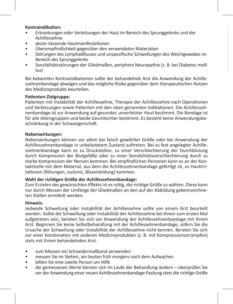# **Kontraindikation:**

- Erkrankungen oder Verletzungen der Haut im Bereich des Sprunggelenks und der Achillessehne
- akute nässende Hautmanifestationen
- Überempfindlichkeit gegenüber den verwendeten Materialien
- Störungen des Lymphabflusses und unspezifische Schwellungen des Weichgewebes im Bereich des Sprunggelenks
- Sensibilitätsstörungen der Gliedmaßen, periphere Neuropathie (z. B. bei Diabetes melli tus)

Bei bekannten Kontraindikationen sollte der behandelnde Arzt die Anwendung der Achillessehnenbandage abwägen und das mögliche Risiko gegenüber dem therapeutischen Nutzen des Medizinprodukts beurteilen.

#### **Patienten-Zielgruppe:**

Patienten mit Instabilität der Achillessehne, Therapie der Achillessehne nach Operationen und Verletzungen sowie Patienten mit den oben genannten Indikationen. Die Achillessehnenbandage ist zur Anwendung auf gesunder, unverletzter Haut bestimmt. Die Bandage ist für alle Altersgruppen und beide Geschlechter bestimmt. Es besteht keine Anwendungsbeschränkung in der Schwangerschaft.

#### **Nebenwirkungen:**

Nebenwirkungen können vor allem bei falsch gewählter Größe oder bei Anwendung der Achillessehnenbandage in unbelastetem Zustand auftreten. Bei zu fest angelegter Achillessehnenbandage kann es zu Druckstellen, zu einer Verschlechterung der Durchblutung durch Kompression der Blutgefäße oder zu einer Sensibilitätsverschlechterung durch zu starke Kompression der Nerven kommen. Bei empfindlichen Personen kann es an der Kontaktstelle mit dem Material, aus dem die Achillessehnenbandage gefertigt ist, zu Hautirritationen (Rötungen, Juckreiz, Blasenbildung) kommen.

# **Wahl der richtigen Größe der Achillessehnenbandage:**

Zum Erzielen des gewünschten Effekts ist es nötig, die richtige Größe zu wählen. Diese kann nur durch Messen der Umfänge der Gliedmaßen an den auf der Abbildung gekennzeichneten Stellen ermittelt werden.

#### **Hinweis:**

Jedwede Schwellung oder Instabilität der Achillessehne sollte von einem Arzt beurteilt werden. Sollte die Schwellung oder Instabilität der Achillessehne bei Ihnen zum ersten Mal aufgetreten sein, beraten Sie sich vor Anwendung der Achillessehnenbandage mit Ihrem Arzt. Beginnen Sie keine Selbstbehandlung mit der Achillessehnenbandage, sofern Sie die Ursache der Schwellung oder Instabilität der Achillessehne nicht kennen. Beraten Sie sich vor einer Kombination mit anderen Medizinprodukten (z. B. mit Kompressionsstrümpfen) stets mit Ihrem behandelnden Arzt.

- zum Messen ein Schneidermaßband verwenden
- messen Sie im Stehen, am besten früh morgens nach dem Aufwachen
- bitten Sie eine zweite Person um Hilfe
- die gemessenen Werte können sich im Laufe der Behandlung ändern überprüfen Sie vor der Anwendung einer neuen Achillessehnenbandage-Packung stets die richtige Größe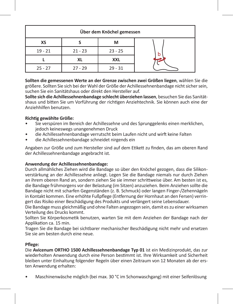| Über dem Knöchel gemessen |           |           |   |
|---------------------------|-----------|-----------|---|
| ХS                        |           | м         |   |
| $19 - 21$                 | $21 - 23$ | $23 - 25$ | b |
|                           | ΧL        | XXL       |   |
| $25 - 27$                 | $27 - 29$ | $29 - 31$ |   |

**Sollten die gemessenen Werte an der Grenze zwischen zwei Größen liegen**, wählen Sie die größere. Sollten Sie sich bei der Wahl der Größe der Achillessehnenbandage nicht sicher sein, suchen Sie ein Sanitätshaus oder direkt den Hersteller auf.

**Sollte sich die Achillessehnenbandage schlecht überziehen lassen**, besuchen Sie das Sanitätshaus und bitten Sie um Vorführung der richtigen Anziehtechnik. Sie können auch eine der Anziehhilfen benutzen.

# **Richtig gewählte Größe:**

- Sie verspüren im Bereich der Achillessehne und des Sprunggelenks einen merklichen, jedoch keineswegs unangenehmen Druck
- die Achillessehnenbandage verrutscht beim Laufen nicht und wirft keine Falten
- die Achillessehnenbandage schneidet nirgends ein

Angaben zur Größe und zum Hersteller sind auf dem Etikett zu finden, das am oberen Rand der Achillessehnenbandage angebracht ist.

#### **Anwendung der Achillessehnenbandage:**

Durch allmähliches Ziehen wird die Bandage so über den Knöchel gezogen, dass die Silikonverstärkung an der Achillessehne anliegt. Legen Sie die Bandage niemals nur durch Ziehen an ihrem oberen Rand an, sondern ziehen Sie sie immer schrittweise über. Am besten ist es, die Bandage frühmorgens vor der Belastung (im Sitzen) anzuziehen. Beim Anziehen sollte die Bandage nicht mit scharfen Gegenständen (z. B. Schmuck) oder langen Finger-/Zehennägeln in Kontakt kommen. Eine erhöhte Fußpflege (Entfernung der Hornhaut an den Fersen) verringert das Risiko einer Beschädigung des Produkts und verlängert seine Lebensdauer.

Die Bandage muss gleichmäßig und ohne Falten angezogen sein, damit es zu einer wirksamen Verteilung des Drucks kommt.

Sollten Sie Körperkosmetik benutzen, warten Sie mit dem Anziehen der Bandage nach der Applikation ca. 15 min.

Tragen Sie die Bandage bei sichtbarer mechanischer Beschädigung nicht mehr und ersetzen Sie sie am besten durch eine neue.

#### **Pflege:**

Die **Avicenum ORTHO 1500 Achillessehnenbandage Typ 01** ist ein Medizinprodukt, das zur wiederholten Anwendung durch eine Person bestimmt ist. Ihre Wirksamkeit und Sicherheit bleiben unter Einhaltung folgender Regeln über einen Zeitraum von 12 Monaten ab der ersten Anwendung erhalten:

• Maschinenwäsche möglich (bei max. 30 °C im Schonwaschgang) mit einer Seifenlösung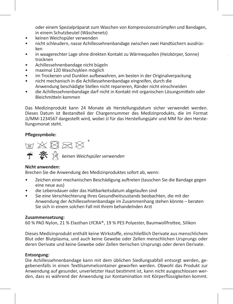oder einem Spezialpräparat zum Waschen von Kompressionsstrümpfen und Bandagen, in einem Schutzbeutel (Wäschenetz)

**Jedwedes schwerwiegende unerwünschte Vorkommnis, zu dem es im Zusammenhang mit** 

- keinen Weichspüler verwenden
- nicht schleudern, nasse Achillessehnenbandage zwischen zwei Handtüchern ausdrücken
- in waagerechter Lage ohne direkten Kontakt zu Wärmequellen (Heizkörper, Sonne) trocknen
- Achillessehnenbandage nicht bügeln
- maximal 120 Waschzyklen möglich
- im Trockenen und Dunklen aufbewahren, am besten in der Originalverpackung
- nicht mechanisch in die Achillessehnenbandage eingreifen, durch die Anwendung beschädigte Stellen nicht reparieren, Ränder nicht einschneiden
- die Achillessehnenbandage darf nicht in Kontakt mit organischen Lösungsmitteln oder Bleichmitteln kommen

Das Medizinprodukt kann 24 Monate ab Herstellungsdatum sicher verwendet werden. Dieses Datum ist Bestandteil der Chargennummer des Medizinprodukts, die im Format JJ/MM-1234567 dargestellt wird, wobei JJ für das Herstellungsjahr und MM für den Herstellungsmonat steht.

# **Pflegesymbole:**



# **Nicht anwenden:**

Brechen Sie die Anwendung des Medizinproduktes sofort ab, wenn:

- Zeichen einer mechanischen Beschädigung auftreten (tauschen Sie die Bandage gegen eine neue aus)
- die Lebensdauer oder das Haltbarkeitsdatum abgelaufen sind
- Sie eine Verschlechterung Ihres Gesundheitszustands beobachten, die mit der Anwendung der Achillessehnenbandage im Zusammenhang stehen könnte – beraten Sie sich in einem solchen Fall mit Ihrem behandelnden Arzt

#### **Zusammensetzung:**

60 % PAD Nylon, 21 % Elasthan LYCRA®, 19 % PES Polyester, Baumwollfrottee, Silikon

Dieses Medizinprodukt enthält keine Wirkstoffe, einschließlich Derivate aus menschlichem Blut oder Blutplasma, und auch keine Gewebe oder Zellen menschlichen Ursprungs oder deren Derivate und keine Gewebe oder Zellen tierischen Ursprungs oder deren Derivate.

# **Entsorgung:**

Die Achillessehnenbandage kann mit dem üblichen Siedlungsabfall entsorgt werden, gegebenenfalls in einen Textilsammelcontainer geworfen werden. Obwohl das Produkt zur Anwendung auf gesunder, unverletzter Haut bestimmt ist, kann nicht ausgeschlossen werden, dass es während der Anwendung zur Kontamination mit Körperflüssigkeiten kommt.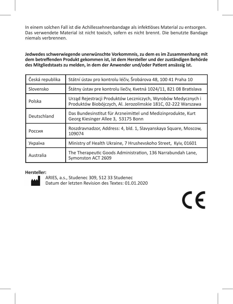In einem solchen Fall ist die Achillessehnenbandage als infektiöses Material zu entsorgen. Das verwendete Material ist nicht toxisch, sofern es nicht brennt. Die benutzte Bandage niemals verbrennen.

**Jedwedes schwerwiegende unerwünschte Vorkommnis, zu dem es im Zusammenhang mit dem betreffenden Produkt gekommen ist, ist dem Hersteller und der zuständigen Behörde des Mitgliedstaats zu melden, in dem der Anwender und/oder Patient ansässig ist.**

| Česká republika | Státní ústav pro kontrolu léčiv, Šrobárova 48, 100 41 Praha 10                                                                  |  |  |
|-----------------|---------------------------------------------------------------------------------------------------------------------------------|--|--|
| Slovensko       | Štátny ústav pre kontrolu liečiv, Kvetná 1024/11, 821 08 Bratislava                                                             |  |  |
| Polska          | Urząd Rejestracji Produktów Leczniczych, Wyrobów Medycznych i<br>Produktów Biobójczych, Al. Jerozolimskie 181C, 02-222 Warszawa |  |  |
| Deutschland     | Das Bundesinstitut für Arzneimittel und Medizinprodukte, Kurt<br>Georg Kiesinger Allee 3, 53175 Bonn                            |  |  |
| Россия          | Roszdravnadzor, Address: 4, bld. 1, Slavyanskaya Square, Moscow,<br>109074                                                      |  |  |
| Україна         | Ministry of Health Ukraine, 7 Hrushevskoho Street, Kyiv, 01601                                                                  |  |  |
| Australia       | The Therapeutic Goods Administration, 136 Narrabundah Lane,<br>Symonston ACT 2609                                               |  |  |

#### **Hersteller:**



ARIES, a.s., Studenec 309, 512 33 Studenec Datum der letzten Revision des Textes: 01.01.2020

 $\epsilon$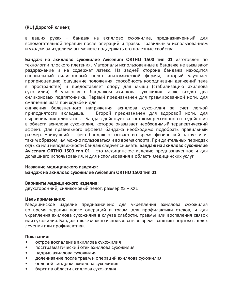#### **(RU) Дорогой клиент,**

в ваших руках – бандаж на ахиллово сухожилие, предназначенный для вспомогательной терапии после операций и травм. Правильным использованием и уходом за изделием вы можете поддержать его полезные свойства.

**Бандаж на ахиллово сухожилие Avicenum ORTHO 1500 тип 01** изготовлен по технологии плоского плетения. Материалы использованные в бандаже не вызывают раздражение и не содержат латекс. На задней стороне бандажа находится специальный силиконовый пелот анатомической формы, который улучшает проприоцепцию (ощущение положения, способность координации движений тела в пространстве) и предоставляет опору для мышц (стабилизацию ахиллова сухожилия). В упаковку с бандажом ахиллова сухожилия также входят два силиконовых подпяточника. Первый предназначен для травмированной ноги, для смягчения шага при ходьбе и для

снижения болезненного напряжения ахиллова сухожилия за счет легкой<br>приподнятости вкладыша. Второй предназначен для здоровой ноги, для Второй предназначен для здоровой ноги, для выравнивания длины ног. Бандаж действует за счет компрессионного воздействия в области ахиллова сухожилия, которое оказывает необходимый терапевтический эффект. Для правильного эффекта бандажа необходимо подобрать правильный размер. Наилучший эффект бандаж оказывает во время физической нагрузки и, таким образом, им можно пользоваться и во время спорта. При длительных периодах отдыха или неподвижности бандаж следует снимать. **Бандаж на ахиллово сухожилие Avicenum ORTHO 1500 тип 01** – это медицинское изделие предназначенное и для домашнего использования, и для использования в области медицинских услуг.

**Для кого предназначен бандаж:** 

Для пациентов с

Для правильного эффекта бандажа необходимо подобрать правильный размер. Для

#### **Название медицинского изделия: Бандаж на ахиллово сухожилие Avicenum ORTHO 1500 тип 01**

#### **Варианты медицинского изделия:**

двухсторонний, силиконовый пелот, размер XS – XXL

#### **Цель применения:**

Медицинское изделие предназначено для укрепления ахиллова сухожилия во время терапии после операций и травм, для профилактики отеков, и для укрепления ахиллова сухожилия в случае слабости, травмы или воспаления связок или сухожилия. Бандаж также можно использовать во время занятия спортом в целях лечения или профилактики.

#### **Показания:**

- острое воспаление ахиллова сухожилия
- посттравматический отек ахиллова сухожилия
- надрыв ахиллова сухожилия
- долечивание после травм и операций ахиллова сухожилия
- болевой синдром ахиллова сухожилия
- бурсит в области ахиллова сухожилия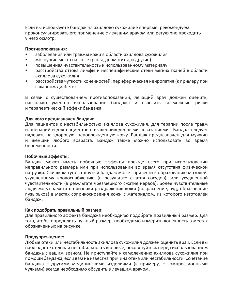Если вы используете бандаж на ахиллово сухожилие впервые, рекомендуем проконсультировать его применение с лечащим врачом или регулярно проходить у него осмотр.

#### **Противопоказания:**

- заболевания или травмы кожи в области ахиллова сухожилия
- мокнущие места на коже (раны, дерматиты, и другие)
- повышенная чувствительность к использованному материалу
- расстройства оттока лимфы и неспецифические отеки мягких тканей в области .<br>ахиллова сухожилия
- расстройства чуткости конечностей, периферическая нейропатия (к примеру при сахарном диабете)

В связи с существованием противопоказаний, лечащий врач должен оценить, насколько уместно использование бандажа и взвесить возможные риски и терапевтический эффект бандажа.

#### **Для кого предназначен бандаж:**

Для пациентов с нестабильностью ахиллова сухожилия, для терапии после травм и операций и для пациентов с вышеприведенными показаниями. Бандаж следует надевать на здоровую, неповрежденную кожу. Бандаж предназначен для мужчин и женщин любого возраста. Бандаж также можно использовать во время беременности.

#### **Побочные эффекты:**

Бандаж может иметь побочные эффекты прежде всего при использовании неправильного размера или при использовании во время отсутствия физической нагрузки. Слишком туго затянутый бандаж может привести к образованию мозолей, ухудшенному кровоснабжению (в результате сжатия сосудов), или ухудшенной чувствительности (в результате чрезмерного сжатия нервов). Более чувствительные люди могут заметить признаки раздражения кожи (покраснение, зуд, образование пузырьков) в местах соприкосновения кожи с материалом, из которого изготовлен бандаж.

#### **Как подобрать правильный размер:**

Для правильного эффекта бандажа необходимо подобрать правильный размер. Для того, чтобы определить нужный размер, необходимо измерить конечность в местах обозначенных на рисунке.

#### **Предупреждение:**

Любые отеки или нестабильность ахиллова сухожилия должен оценить врач. Если вы наблюдаете отек или нестабильность впервые, посоветуйтесь перед использованием бандажа с вашим врачом. Не приступайте к самолечению ахиллова сухожилия при помощи бандажа, если вам не известна причина отека или нестабильности. Сочетание бандажа с другими медицинскими изделиями (к примеру, с компрессионными чулками) всегда необходимо обсудить в лечащим врачом.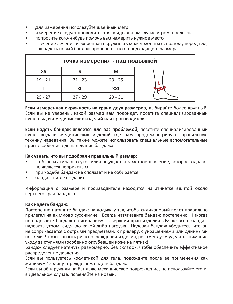- Для измерения используйте швейный метр
- измерение следует проводить стоя, в идеальном случае утром, после сна
- попросите кого-нибудь помочь вам измерить нужное место
- в течение лечения измеренная окружность может меняться, поэтому перед тем, как надеть новый бандаж проверьте, что он подходящего размера

| точка измерения - над лодыжкой |           |           |  |
|--------------------------------|-----------|-----------|--|
| ХS                             |           | м         |  |
| $19 - 21$                      | $21 - 23$ | $23 - 25$ |  |
|                                | XL        | XXL       |  |
| $25 - 27$                      | $27 - 29$ | $29 - 31$ |  |

**Если измеренная окружность на грани двух размеров**, выбирайте более крупный. Если вы не уверены, какой размер вам подойдет, посетите специализированный пункт выдачи медицинских изделий или производителя.

**Если надеть бандаж является для вас проблемой**, посетите специализированный пункт выдачи медицинских изделий где вам продемонстрируют правильную технику надевания. Вы также можете использовать специальные вспомогательные приспособления для надевания бандажа.

#### **Как узнать, что вы подобрали правильный размер:**

- в области ахиллова сухожилия ощущается заметное давление, которое, однако, не является неприятным
- при ходьбе бандаж не сползает и не собирается
- бандаж нигде не давит

Информация о размере и производителе находится на этикетке вшитой около верхнего края бандажа.

#### **Как надеть бандаж:**

Постепенно натяните бандаж на лодыжку так, чтобы силиконовый пелот правильно прилегал на ахиллово сухожилие. Всегда натягивайте бандаж постепенно. Никогда не надевайте бандаж натягиванием за верхний край изделия. Лучше всего бандаж надевать утром, сидя, до какой-либо нагрузки. Надевая бандаж убедитесь, что он не соприкасается с острыми предметами, к примеру, с украшениями или длинными ногтями. Чтобы снизить риск повреждения изделия, рекомендуем уделять внимание уходу за ступнями (особенно огрубевшей коже на пятках).

Бандаж следует натянуть равномерно, без складок, чтобы обеспечить эффективное распределение давления.

Если вы пользуетесь косметикой для тела, подождите после ее применения как минимум 15 минут прежде чем надеть бандаж.

Если вы обнаружили на бандаже механическое повреждение, не используйте его и, в идеальном случае, поменяйте на новый.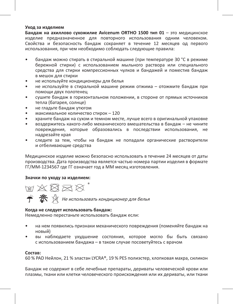#### **Уход за изделием**

**Бандаж на ахиллово сухожилие Avicenum ORTHO 1500 тип 01** – это медицинское изделие предназначенное для повторного использования одним человеком. Свойства и безопасность бандаж сохраняет в течение 12 месяцев од первого использования, при чем необходимо соблюдать следующие правила:

- бандаж можно стирать в стиральной машине (при температуре 30 °C в режиме бережной стирки) с использованием мыльного раствора или специального средства для стирки компрессионных чулков и бандажей и поместив бандаж в мешок для стирки
- не используйте кондиционеры для белья
- не используйте в стиральной машине режим отжима отожмите бандаж при помощи двух полотенец
- сушите бандаж в горизонтальном положении, в стороне от прямых источников тепла (батарея, солнце)
- не гладьте бандаж утюгом
- максимальное количество стирок 120
- храните бандаж на сухом и темном месте, лучше всего в оригинальной упаковке
- воздержитесь какого-либо механического вмешательства в бандаж не чините повреждения, которые образовались в последствии использования, не надрезайте края
- следите за тем, чтобы на бандаж не попадали органические растворители и отбеливающие средства

Медицинское изделие можно безопасно использовать в течение 24 месяцев от даты производства. Дата производства является частью номера партии изделия в формате ГГ/ММ-1234567 где ГГ означает год а ММ месяц изготовления.

#### **Значки по уходу за изделием:**

**M A X R X** 

Не использовать кондиционер для белья

# **Когда не следует использовать бандаж:**

Немедленно перестаньте использовать бандаж если:

- на нем появились признаки механического повреждения (поменяйте бандаж на новый)
- вы наблюдаете ухудшение состояния, которое могло бы быть связано с использованием бандажа – в таком случае посоветуйтесь с врачом

#### **Состав:**

60 % PAD Нейлон, 21 % эластан LYCRA®, 19 % PES полиэстер, хлопковая махра, силикон

Бандаж не содержит в себе лечебные препараты, дериваты человеческой крови или плазмы, ткани или клетки человеческого происхождения или их дериваты, или ткани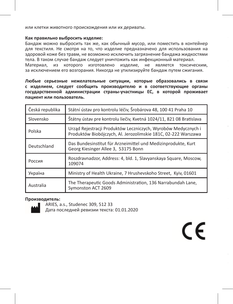или клетки животного происхождения или их дериваты.

#### **Как правильно выбросить изделие:**

Бандаж можно выбросить так же, как обычный мусор, или поместить в контейнер для текстиля. Не смотря на то, что изделие предназначено для использования на здоровой коже без травм, не возможно исключить загрязнение бандажа жидкостями тела. В таком случае бандаж следует уничтожить как инфекционный материал. Материал, из которого изготовлено изделие, не является токсическим, за исключением его возгорания. Никогда не утилизируйте бандаж путем сжигания.

**Любые серьезные нежелательные ситуации, которые образовались в связи с изделием, следует сообщить производителю и в соответствующие органы государственной администрации страны-участницы ЕС, в которой проживает пациент или пользователь.**

| Česká republika | Státní ústav pro kontrolu léčiv, Šrobárova 48, 100 41 Praha 10                                                                  |  |
|-----------------|---------------------------------------------------------------------------------------------------------------------------------|--|
| Slovensko       | Štátny ústav pre kontrolu liečiv, Kvetná 1024/11, 821 08 Bratislava                                                             |  |
| Polska          | Urząd Rejestracji Produktów Leczniczych, Wyrobów Medycznych i<br>Produktów Biobójczych, Al. Jerozolimskie 181C, 02-222 Warszawa |  |
| Deutschland     | Das Bundesinstitut für Arzneimittel und Medizinprodukte, Kurt<br>Georg Kiesinger Allee 3, 53175 Bonn                            |  |
| Россия          | Roszdravnadzor, Address: 4, bld. 1, Slavyanskaya Square, Moscow,<br>109074                                                      |  |
| Україна         | Ministry of Health Ukraine, 7 Hrushevskoho Street, Kyiv, 01601                                                                  |  |
| Australia       | The Therapeutic Goods Administration, 136 Narrabundah Lane,<br>Symonston ACT 2609                                               |  |

#### **Производитель:**



ARIES, a.s., Studenec 309, 512 33 Дата последней ревизии текста: 01.01.2020

CE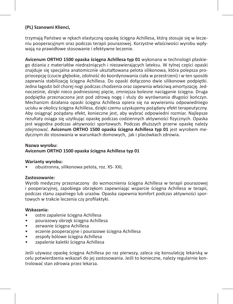# **(PL) Szanowni Klienci,**

trzymają Państwo w rękach elastyczną opaskę ścięgna Achillesa, którą stosuje się w leczeniu pooperacyjnym oraz podczas terapii pourazowej. Korzystne właściwości wyrobu wpływają na prawidłowe stosowanie i efektywne leczenie.

**Avicenum ORTHO 1500 opaska ścięgna Achillesa typ 01** wykonana w technologii płaskiego dziania z materiałów niedrażniących i niezawierających lateksu. W tylnej części opaski znajduje się specjalna anatomicznie ukształtowana pelota silikonowa, która polepsza propriocepcję (czucie głębokie, zdolność do koordynowania ciała w przestrzeni) i w ten sposób zapewnia stabilizację ścięgna Achillesa. Do opaski dołączono dwie silikonowe podpiętki. Jedna łagodzi ból chorej nogi podczas chodzenia oraz zapewnia właściwą amortyzację. Jednocześnie, dzięki nieco podniesionej pięcie, zmniejsza bolesne naciąganie ścięgna. Druga podpiętka przeznaczona jest pod zdrową nogę i służy do wyrównania długości kończyn. Mechanizm działania opaski ścięgna Achillesa opiera się na wywieraniu odpowiedniego ucisku w okolicy ścięgna Achillesa, dzięki czemu uzyskujemy pożądany efekt terapeutyczny. Aby osiągnąć pożądany efekt, konieczne jest, aby wybrać odpowiedni rozmiar. Najlepsze rezultaty osiąga się użytkując opaskę podczas codziennych aktywności fizycznych. Opaska jest wygodna podczas aktywności sportowych. Podczas dłuższych przerw opaskę należy zdejmować. **Avicenum ORTHO 1500 opaska ścięgna Achillesa typ 01** jest wyrobem medycznym do stosowania w warunkach domowych, jak i placówkach zdrowia.

#### **Nazwa wyrobu:**

#### **Avicenum ORTHO 1500 opaska ścięgna Achillesa typ 01**

#### **Warianty wyrobu:**

• obustronna, silikonowa pelota, roz. XS- XXL

#### **Zastosowanie:**

Wyrób medyczny przeznaczony do wzmocnienia ścięgna Achillesa w terapii pourazowej i pooperacyjnej, zapobiega obrzękom zapewniając wsparcie ścięgna Achillesa w terapii, podczas stanu zapalnego lub urazów. Opaska zapewnia komfort podczas aktywności sportowych w trakcie leczenia czy profilaktyki.

#### **Wskazania:**

- ostre zapalenie ścięgna Achillesa
- pourazowy obrzęk ścięgna Achillesa
- zerwanie ścięgna Achillesa
- eczenie pooperacyjne i pourazowe ścięgna Achillesa
- zespoły bólowe ścięgna Achillesa
- zapalenie kaletki ścięgna Achillesa

Jeśli używasz opaskę ścięgna Achillesa po raz pierwszy, zaleca się konsulatcję lekarską w celu potwierdzenia wskazań do jej zastosowania. Jeśli to konieczne, należy regularnie kontrolować stan zdrowia przez lekarza.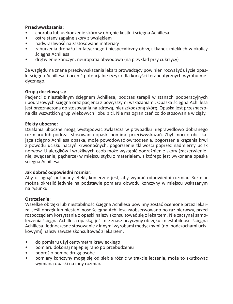#### **Przeciwwskazania:**

- choroba lub uszkodzenie skóry w obrębie kostki i ścięgna Achillesa
- ostre stany zapalne skóry z wysiękiem
- nadwrażliwość na zastosowane materiały
- zaburzenia drenażu limfatycznego i niespecyficzny obrzęk tkanek miękkich w okolicy ścięgna Achillesa
- drętwienie kończyn, neuropatia obwodowa (na przykład przy cukrzycy)

Ze względu na znane przeciwwskazania lekarz prowadzący powinien rozważyć użycie opaski ścięgna Achillesa i ocenić potencjalne ryzyko dla korzyści terapeutycznych wyrobu medycznego.

# **Grupą docelową są:**

Pacjenci z niestabilnym ścięgnem Achillesa, podczas terapii w stanach pooperacyjnych i pourazowych ścięgna oraz pacjenci z powyższymi wskazaniami. Opaska ścięgna Achillesa jest przeznaczona do stosowania na zdrową, nieuszkodzoną skórę. Opaska jest przeznaczona dla wszystkich grup wiekowych i obu płci. Nie ma ograniczeń co do stosowania w ciąży.

**Jeśli opaska ścięgna Achillesa ciężko się zakłada,** odwiedź specjalistyczny sklep medyczny

#### **Efekty uboczne:**

Działania uboczne mogą występować zwłaszcza w przypadku nieprawidłowo dobranego rozmiaru lub podczas stosowania opaski pomimo przeciwwskazań. Zbyt mocno obciskająca ścięgno Achillesa opaska, może powodować owrzodzenia, pogorszenie krążenia krwi z powodu ucisku naczyń krwionośnych, pogorszenie tkliwości poprzez nadmierny ucisk nerwów. U alergików i wrażliwych osób może wystąpić podrażnienie skóry (zaczerwienienie, swędzenie, pęcherze) w miejscu styku z materiałem, z którego jest wykonana opaska ściegna Achillesa.

#### **Jak dobrać odpowiedni rozmiar:**

Aby osiągnąć pożądany efekt, konieczne jest, aby wybrać odpowiedni rozmiar. Rozmiar można określić jedynie na podstawie pomiaru obwodu kończyny w miejscu wskazanym na rysunku.

#### **Ostrzeżenie:**

Wszelkie obrzęki lub niestabilność ścięgna Achillesa powinny zostać ocenione przez lekarza. Jeśli obrzęk lub niestabilność ścięgna Achillesa zaobserwowano po raz pierwszy, przed rozpoczęciem korzystania z opaski należy skonsultować się z lekarzem. Nie zaczynaj samoleczenia ścięgna Achillesa opaską, jeśli nie znasz przyczyny obrzęku i niestabilności ścięgna Achillesa. Jednoczesne stosowanie z innymi wyrobami medycznymi (np. pończochami uciskowymi) należy zawsze skonsultować z lekarzem.

- do pomiaru użyj centymetra krawieckiego
- pomiaru dokonaj najlepiej rano po przebudzeniu
- poproś o pomoc drugą osobę
- pomiary kończyny mogą się od siebie różnić w trakcie leczenia, może to skutkować wymianą opaski na inny rozmiar.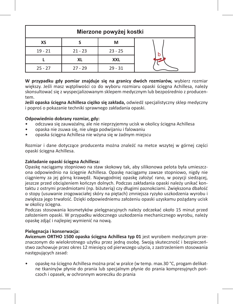| Mierzone powyżej kostki |           |           |   |
|-------------------------|-----------|-----------|---|
| ХS                      |           | м         |   |
| $19 - 21$               | $21 - 23$ | $23 - 25$ | b |
|                         | XL        | XXL       |   |
| $25 - 27$               | $27 - 29$ | $29 - 31$ |   |

**W przypadku gdy pomiar znajduje się na granicy dwóch rozmiarów,** wybierz rozmiar większy. Jeśli masz watpliwości co do wyboru rozmiaru opaski ścięgna Achillesa, należy skonsultować się z wyspecjalizowanym sklepem medycznym lub bezpośrednio z producentem.

**Jeśli opaska ścięgna Achillesa ciężko się zakłada,** odwiedź specjalistyczny sklep medyczny i poproś o pokazanie techniki sprawnego zakładania opaski.

# **Odpowiednio dobrany rozmiar, gdy:**

- odczuwa się zauważalny, ale nie nieprzyjemny ucisk w okolicy ścięgna Achillesa
- opaska nie zsuwa się, nie ulega podwijaniu i falowaniu
- opaska ścięgna Achillesa nie wżyna się w żadnym miejscu

Rozmiar i dane dotyczące producenta można znaleźć na metce wszytej w górnej części opaski ścięgna Achillesa.

#### **Zakładanie opaski ścięgna Achillesa:**

Opaskę naciągamy stopniowo na staw skokowy tak, aby silikonowa pelota była umieszczona odpowiednio na ścięgnie Achillesa. Opaskę naciągamy zawsze stopniowo, nigdy nie ciągniemy za jej górną krawędź. Najwygodniej opaskę założyć rano, w pozycji siedzącej, jeszcze przed obciążeniem kończyn dolnych. Podczas zakładania opaski należy unikać kontaktu z ostrymi przedmiotami (np. biżuterią) czy długimi paznokciami. Zwiększona dbałość o stopy (usuwanie zrogowaciałej skóry na piętach) zmniejsza ryzyko uszkodzenia wyrobu i zwiększa jego trwałość. Dzięki odpowiedniemu założeniu opaski uzyskamu pożądany ucisk w okolicy ścięgna.

Podczas stosowania kosmetyków pielęgnacyjnych należy odczekać około 15 minut przed założeniem opaski. W przypadku widocznego uszkodzenia mechanicznego wyrobu, należy opaskę zdjąć i najlepiej wymienić na nową.

# **Pielęgnacja i konserwacja:**

**Avicenum ORTHO 1500 opaska ścięgna Achillesa typ 01** jest wyrobem medycznym przeznaczonym do wielokrotnego użytku przez jedną osobę. Swoją skuteczność i bezpieczeństwo zachowuje przez okres 12 miesięcy od pierwszego użycia, z zastrzeżeniem stosowania następujących zasad:

• opaskę na ścięgno Achillesa można prać w pralce (w temp. max.30 °C, progam delikatne tkaniny)w płynie do prania lub specjalnym płynie do prania kompresyjnych pończoch i opasek, w ochronnym woreczku do prania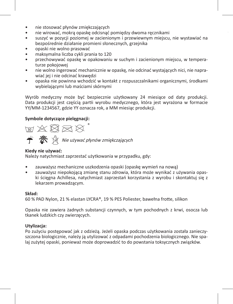- nie stosować płynów zmiękczających
- nie wirować, mokrą opaskę odcisnąć pomiędzy dwoma ręcznikami
- suszyć w pozycji poziomej w zacienionym i przewiewnym miejscu, nie wystawiać na bezpośrednie działanie promieni słonecznych, grzejnika
- opaski nie wolno prasować
- maksymalna liczba cykli prania to 120
- przechowywać opaskę w opakowaniu w suchym i zacienionym miejscu, w temperaturze pokojowej
- nie wolno ingerować mechanicznie w opaskę, nie odcinać wystających nici, nie naprawiać jej i nie odcinać krawędzi
- opaska nie powinna wchodzić w kontakt z rozpuszczalnikami organicznymi, środkami wybielającymi lub maściami skórnymi

Wyrób medyczny może być bezpiecznie użytkowany 24 miesiące od daty produkcji. Data produkcji jest częścią partii wyrobu medycznego, która jest wyrażona w formacie YY/MM-1234567, gdzie YY oznacza rok, a MM miesiąc produkcji.

# **Symbole dotyczące pielęgnacji:**

的名义网络

 $\hat{\mathbf{f}}$   $\hat{\mathbf{X}}$   $\hat{\mathbf{N}}$  Nie używać płynów zmiękczających

# **Kiedy nie używać:**

Należy natychmiast zaprzestać użytkowania w przypadku, gdy:

- zauważysz mechaniczne uszkodzenia opaski (opaskę wymień na nową)
- zauważysz niepokojącą zmianę stanu zdrowia, która może wynikać z używania opaski ścięgna Achillesa, natychmiast zaprzestań korzystania z wyrobu i skontaktuj się z lekarzem prowadzącym.

#### **Skład:**

60 % PAD Nylon, 21 % elastan LYCRA®, 19 % PES Poliester, bawełna frotte, silikon

Opaska nie zawiera żadnych substancji czynnych, w tym pochodnych z krwi, osocza lub tkanek ludzkich czy zwierzęcych.

# **Utylizacja:**

Po zużyciu postępować jak z odzieżą. Jeżeli opaska podczas użytkowania została zanieczyszczona biologicznie, należy ją utylizować z odpadami pochodzenia biologicznego. Nie spalaj zużytej opaski, ponieważ może doprowadzić to do powstania toksycznych związków.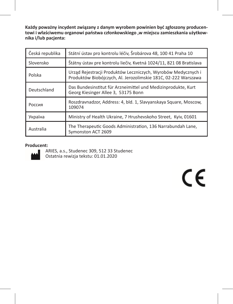**Każdy poważny incydent związany z danym wyrobem powinien być zgłoszony producentowi i właściwemu organowi państwa członkowskiego ,w miejscu zamieszkania użytkownika i/lub pacjenta:**

| Česká republika | Státní ústav pro kontrolu léčiv, Šrobárova 48, 100 41 Praha 10                                                                  |  |
|-----------------|---------------------------------------------------------------------------------------------------------------------------------|--|
| Slovensko       | Štátny ústav pre kontrolu liečiv, Kvetná 1024/11, 821 08 Bratislava                                                             |  |
| Polska          | Urząd Rejestracji Produktów Leczniczych, Wyrobów Medycznych i<br>Produktów Biobójczych, Al. Jerozolimskie 181C, 02-222 Warszawa |  |
| Deutschland     | Das Bundesinstitut für Arzneimittel und Medizinprodukte, Kurt<br>Georg Kiesinger Allee 3, 53175 Bonn                            |  |
| Россия          | Roszdravnadzor, Address: 4, bld. 1, Slavyanskaya Square, Moscow,<br>109074                                                      |  |
| Україна         | Ministry of Health Ukraine, 7 Hrushevskoho Street, Kyiv, 01601                                                                  |  |
| Australia       | The Therapeutic Goods Administration, 136 Narrabundah Lane,<br>Symonston ACT 2609                                               |  |

# **Producent:**



ARIES, a.s., Studenec 309, 512 33 Studenec Ostatnia rewizja tekstu: 01.01.2020

 $C \in$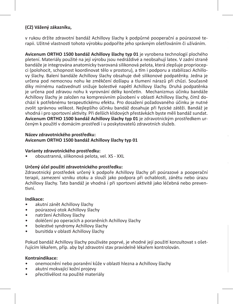# **(CZ) Vážený zákazníku,**

v rukou držíte zdravotní bandáž Achillovy šlachy k podpůrné pooperační a poúrazové terapii. Užitné vlastnosti tohoto výrobku podpoříte jeho správným ošetřováním či užíváním.

**Avicenum ORTHO 1500 bandáž Achillovy šlachy typ 01** je vyrobena technologií plochého pletení. Materiály použité na její výrobu jsou nedráždivé a neobsahují latex. V zadní straně bandáže je integrována anatomicky tvarovaná silikonová pelota, která zlepšuje propriocepci (polohocit, schopnost koordinovat tělo v prostoru), a tím i podporu a stabilizaci Achillovy šlachy. Balení bandáže Achillovy šlachy obsahuje dvě silikonové podpatěnky. Jedna je určena pod nemocnou nohu ke změkčení došlapu a tlumení nárazů při chůzi. Současně díky mírnému nadzvednutí snižuje bolestivé napětí Achillovy šlachy. Druhá podpatěnka je určena pod zdravou nohu k vyrovnání délky končetin. Mechanizmus účinku bandáže Achillovy šlachy je založen na kompresivním působení v oblasti Achillovy šlachy, čímž dochází k potřebnému terapeutickému efektu. Pro dosažení požadovaného účinku je nutné zvolit správnou velikost. Nejlepšího účinku bandáž dosahuje při fyzické zátěži. Bandáž je vhodná i pro sportovní aktivity. Při delších klidových přestávkách byste měli bandáž sundat. **Avicenum ORTHO 1500 bandáž Achillovy šlachy typ 01** je zdravotnickým prostředkem určeným k použití v domácím prostředí i u poskytovatelů zdravotních služeb.

#### **Název zdravotnického prostředku: Avicenum ORTHO 1500 bandáž Achillovy šlachy typ 01**

# **Varianty zdravotnického prostředku:**

• oboustranná, silikonová pelota, vel. XS - XXL

# **Určený účel použití zdravotnického prostředku:**

Zdravotnický prostředek určený k podpoře Achillovy šlachy při poúrazové a pooperační terapii, zamezení vzniku otoku a slouží jako podpora při ochablosti, zánětu nebo úrazu Achillovy šlachy. Tato bandáž je vhodná i při sportovní aktivitě jako léčebná nebo preventivní.

**Jak zvolit správnou velikost bandáže Achillovy šlachy:**

# **Indikace:**

- akutní zánět Achillovy šlachy
- poúrazový otok Achillovy šlachy
- natržení Achillovy šlachy
- doléčení po operacích a poraněních Achillovy šlachy
- bolestivé syndromy Achillovy šlachy
- bursitida v oblasti Achillovy šlachy

Pokud bandáž Achillovy šlachy používáte poprvé, je vhodné její použití konzultovat s ošetřujícím lékařem, příp. aby byl zdravotní stav pravidelně lékařem kontrolován.

# **Kontraindikace:**

- onemocnění nebo poranění kůže v oblasti hlezna a Achillovy šlachy
- akutní mokvající kožní projevy
- přecitlivělost na použité materiály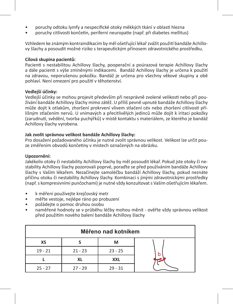- poruchy odtoku lymfy a nespecifické otoky měkkých tkání v oblasti hlezna
- poruchy citlivosti končetin, periferní neuropatie (např. při diabetes mellitus)

Vzhledem ke známým kontraindikacím by měl ošetřující lékař zvážit použití bandáže Achillovy šlachy a posoudit možné riziko s terapeutickým přínosem zdravotnického prostředku.

#### **Cílová skupina pacientů:**

Pacienti s nestabilitou Achillovy šlachy, pooperační a poúrazová terapie Achillovy šlachy a dále pacienti s výše zmíněnými indikacemi. Bandáž Achillovy šlachy je určena k použití na zdravou, neporušenou pokožku. Bandáž je určena pro všechny věkové skupiny a obě pohlaví. Není omezení pro použití v těhotenství.

#### **Vedlejší účinky:**

Vedlejší účinky se mohou projevit především při nesprávně zvolené velikosti nebo při používání bandáže Achillovy šlachy mimo zátěž. U příliš pevně upnuté bandáže Achillovy šlachy může dojít k otlakům, zhoršení prokrvení vlivem stlačení cév nebo zhoršení citlivosti přílišným stlačením nervů. U vnímavých a přecitlivělých jedinců může dojít k iritaci pokožky (zarudnutí, svědění, tvorba puchýřků) v místě kontaktu s materiálem, ze kterého je bandáž Achillovy šlachy vyrobena.

# **Jak zvolit správnou velikost bandáže Achillovy šlachy:**

Pro dosažení požadovaného účinku je nutné zvolit správnou velikost. Velikost lze určit pouze změřením obvodů končetiny v místech označených na obrázku.

#### **Upozornění:**

Jakékoliv otoky či nestability Achillovy šlachy by měl posoudit lékař. Pokud jste otoky či nestability Achillovy šlachy pozorovali poprvé, poraďte se před používáním bandáže Achillovy šlachy s Vaším lékařem. Nezačínejte samoléčbu bandáží Achillovy šlachy, pokud neznáte příčinu otoku či nestability Achillovy šlachy. Kombinaci s jinými zdravotnickými prostředky (např. s kompresivními punčochami) je nutné vždy konzultovat s Vaším ošetřujícím lékařem.

- k měření používejte krejčovský metr
- měřte vestoje, nejlépe ráno po probuzení
- požádejte o pomoc druhou osobu
- naměřené hodnoty se v průběhu léčby mohou měnit ověřte vždy správnou velikost před použitím nového balení bandáže Achillovy šlachy

| Měřeno nad kotníkem |           |           |  |
|---------------------|-----------|-----------|--|
| ХS                  |           | М         |  |
| $19 - 21$           | $21 - 23$ | $23 - 25$ |  |
|                     | ΧL        | XXL       |  |
| $25 - 27$           | $27 - 29$ | $29 - 31$ |  |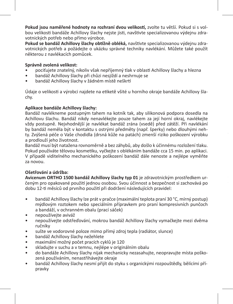**Pokud jsou naměřené hodnoty na rozhraní dvou velikostí,** zvolte tu větší. Pokud si s volbou velikosti bandáže Achillovy šlachy nejste jisti, navštivte specializovanou výdejnu zdravotnických potřeb nebo přímo výrobce.

**Pokud se bandáž Achillovy šlachy obtížně obléká,** navštivte specializovanou výdejnu zdravotnických potřeb a požádejte o ukázku správné techniky navlékání. Můžete také použít některou z navlékacích pomůcek.

# **Správně zvolená velikost:**

- pociťujete znatelný, nikoliv však nepříjemný tlak v oblasti Achillovy šlachy a hlezna
- bandáž Achillovy šlachy při chůzi nesjíždí a neshrnuje se
- bandáž Achillovy šlachy v žádném místě neškrtí

Údaje o velikosti a výrobci najdete na etiketě všité u horního okraje bandáže Achillovy šlachy.

# **Aplikace bandáže Achillovy šlachy:**

Bandáž navlékneme postupným tahem na kotník tak, aby silikonová podpora dosedla na Achillovu šlachu. Bandáž nikdy nenavlékejte pouze tahem za její horní okraj, navlékejte vždy postupně. Nejvhodnější je navlékat bandáž zrána (vsedě) před zátěží. Při navlékání by bandáž neměla být v kontaktu s ostrými předměty (např. šperky) nebo dlouhými nehty. Zvýšená péče o Vaše chodidla (drsná kůže na patách) zmenší riziko poškození výrobku a prodlouží jeho životnost.

Bandáž musí být natažena rovnoměrně a bez záhybů, aby došlo k účinnému rozložení tlaku. Pokud používáte tělovou kosmetiku, vyčkejte s oblékáním bandáže cca 15 min. po aplikaci. V případě viditelného mechanického poškození bandáž dále nenoste a nejlépe vyměňte za novou.

# **Ošetřování a údržba:**

**Avicenum ORTHO 1500 bandáž Achillovy šlachy typ 01** je zdravotnickým prostředkem určeným pro opakované použití jednou osobou. Svou účinnost a bezpečnost si zachovává po dobu 12-ti měsíců od prvního použití při dodržení následujících pravidel:

- bandáž Achillovy šlachy lze prát v pračce (maximální teplota praní 30 °C, mírný postup) mýdlovým roztokem nebo speciálním přípravkem pro praní kompresivních punčoch a bandáží, v ochranném obalu (prací sáček)
- nepoužívejte aviváž
- nepoužívejte odstřeďování, mokrou bandáž Achillovy šlachy vymačkejte mezi dvěma ručníky
- sušte ve vodorovné poloze mimo přímý zdroj tepla (radiátor, slunce)
- bandáž Achillovy šlachy nežehlete
- maximální možný počet pracích cyklů je 120
- skladujte v suchu a v temnu, nejlépe v originálním obalu
- do bandáže Achillovy šlachy nijak mechanicky nezasahujte, neopravujte místa poškozená používáním, nenastřihávejte okraje
- bandáž Achillovy šlachy nesmí přijít do styku s organickými rozpouštědly, bělícími přípravky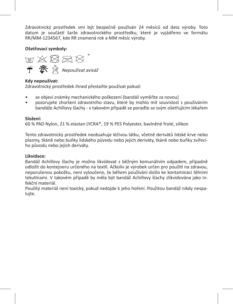Zdravotnický prostředek smí být bezpečně používán 24 měsíců od data výroby. Toto datum je součástí šarže zdravotnického prostředku, které je vyjádřeno ve formátu RR/MM-1234567, kde RR znamená rok a MM měsíc výroby.

**Ošetřovací symboly:** 

**M 公图区区 个 茶** 《 Nepoužívat aviváž

# **Kdy nepoužívat:**

Zdravotnický prostředek ihned přestaňte používat pokud:

- se objeví známky mechanického poškození (bandáž vyměňte za novou)
- pozorujete zhoršení zdravotního stavu, které by mohlo mít souvislost s používáním bandáže Achillovy šlachy - v takovém případě se poraďte se svým ošetřujícím lékařem

# **Složení:**

60 % PAD Nylon, 21 % elastan LYCRA®, 19 % PES Polyester, bavlněné froté, silikon

Tento zdravotnický prostředek neobsahuje léčivou látku, včetně derivátů lidské krve nebo plazmy, tkáně nebo buňky lidského původu nebo jejich deriváty, tkáně nebo buňky zvířecího původu nebo jejich deriváty.

# **Likvidace:**

Bandáž Achillovy šlachy je možno likvidovat s běžným komunálním odpadem, případně odložit do kontejneru určeného na textil. Ačkoliv je výrobek určen pro použití na zdravou, neporušenou pokožku, není vyloučeno, že během používání došlo ke kontaminaci tělními tekutinami. V takovém případě by měla být bandáž Achillovy šlachy zlikvidována jako infekční materiál.

Použitý materiál není toxický, pokud nedojde k jeho hoření. Použitou bandáž nikdy nespalujte.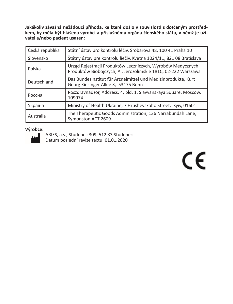**Jakákoliv závažná nežádoucí příhoda, ke které došlo v souvislosti s dotčeným prostředkem, by měla být hlášena výrobci a příslušnému orgánu členského státu, v němž je uživatel a/nebo pacient usazen:**

| Česká republika | Státní ústav pro kontrolu léčiv, Šrobárova 48, 100 41 Praha 10                                                                  |  |  |
|-----------------|---------------------------------------------------------------------------------------------------------------------------------|--|--|
| Slovensko       | Štátny ústav pre kontrolu liečiv, Kvetná 1024/11, 821 08 Bratislava                                                             |  |  |
| Polska          | Urząd Rejestracji Produktów Leczniczych, Wyrobów Medycznych i<br>Produktów Biobójczych, Al. Jerozolimskie 181C, 02-222 Warszawa |  |  |
| Deutschland     | Das Bundesinstitut für Arzneimittel und Medizinprodukte, Kurt<br>Georg Kiesinger Allee 3, 53175 Bonn                            |  |  |
| Россия          | Roszdravnadzor, Address: 4, bld. 1, Slavyanskaya Square, Moscow,<br>109074                                                      |  |  |
| Україна         | Ministry of Health Ukraine, 7 Hrushevskoho Street, Kyiv, 01601                                                                  |  |  |
| Australia       | The Therapeutic Goods Administration, 136 Narrabundah Lane,<br>Symonston ACT 2609                                               |  |  |

# **Výrobce:**



ARIES, a.s., Studenec 309, 512 33 Studenec Datum poslední revize textu: 01.01.2020

 $C \in$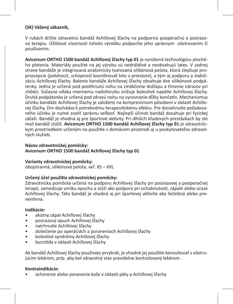# **(SK) Vážený zákazník,**

V rukách držíte zdravotnú bandáž Achillovej šľachy na podpornú pooperačnú a poúrazovú terapiu. Úžitkové vlastnosti tohoto výrobku podporíte jeho správnym ošetrovaním či používaním.

**Avicenum ORTHO 1500 bandáž Achillovej šľachy typ 01** je vyrobená technológiou plochého pletenia. Materiály použité na jej výrobu sú nedráždivé a neobsahujú latex. V zadnej strane bandáže je integrovaná anatomicky tvarovaná silikónová pelota, ktorá zlepšuje propriocepcie (polohocit, schopnosť koordinovať telo v priestore), a tým aj podporu a stabilizáciu Achillovej šľachy. Balenie bandáže Achillovej šľachy obsahuje dve silikónové podpätenky. Jedna je určená pod postihnutú nohu na zmäkčenie došľapu a tlmenie nárazov pri chôdzi. Súčasne vďaka miernemu nadvihnutiu znižuje bolestivé napätie Achillovej šľachy. Druhá podpätenka je určená pod zdravú nohu na vyrovnanie dĺžky končatín. Mechanizmus účinku bandáže Achillovej šľachy je založený na kompresívnom pôsobení v oblasti Achillovej šľachy, čím dochádza k potrebnému terapeutickému efektu. Pre dosiahnutie požadovaného účinku je nutné zvoliť správnu veľkosť. Najlepší účinok bandáž dosahuje pri fyzickej záťaži. Bandáž je vhodná aj pre športové aktivity. Pri dlhších kľudových prestávkach by ste mali bandáž zložiť. **Avicenum ORTHO 1500 bandáž Achillovej šľachy typ 01** je zdravotníckym prostriedkom určeným na použitie v domácom prostredí aj u poskytovateľov zdravotných služieb.

# **Názov zdravotníckej pomôcky: Avicenum ORTHO 1500 bandáž Achillovej šľachy typ 01**

# **Varianty zdravotníckej pomôcky:**

obojstranná, silikónová pelota, veľ. XS – XXL

# **Určený účel použitia zdravotníckej pomôcky:**

Zdravotnícka pomôcka určená na podporu Achillovej šľachy pri poúrazovej a pooperačnej terapii, zamedzuje vzniku opuchu a slúži ako podpora pri ochabnutosti, zápale alebo úraze Achillovej šľachy. Táto bandáž je vhodná aj pri športovej aktivite ako liečebná alebo preventívna.

# **Indikácie:**

- akútny zápal Achillovej šľachy
- poúrazový opuch Achillovej šľachy
- natrhnutie Achillovej šľachy
- doliečenie po operáciách a poraneniach Achillovej šľachy
- bolestivé syndrómy Achillovej šľachy
- burzitída v oblasti Achillovej šľachy

Ak bandáž Achillovej šľachy používate prvýkrát, je vhodné jej použitie konzultovať s ošetrujúcim lekárom, príp. aby bol zdravotný stav pravidelne kontrolovaný lekárom .

#### **Kontraindikácie:**

• ochorenie alebo poranenie kože v oblasti päty a Achillovej šľachy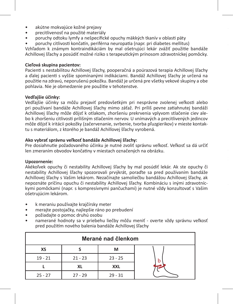- akútne mokvajúce kožné prejavy
- precitlivenosť na použité materiály
- poruchy odtoku lymfy a nešpecifické opuchy mäkkých tkanív v oblasti päty

• poruchy citlivosti končatín, periférna neuropatia (napr. pri diabetes mellitus)

Vzhľadom k známym kontraindikáciám by mal ošetrujúci lekár zvážiť použitie bandáže Achillovej šľachy a posúdiť možné riziko s terapeutickým prínosom zdravotníckej pomôcky.

# **Cieľová skupina pacientov:**

Pacienti s nestabilitou Achillovej šľachy, pooperačná a poúrazová terapia Achillovej šľachy a ďalej pacienti s vyššie spomínanými indikáciami. Bandáž Achillovej šľachy je určená na použitie na zdravú, neporušenú pokožku. Bandáž je určená pre všetky vekové skupiny a obe pohlavia. Nie je obmedzenie pre použitie v tehotenstve.

# **Vedľajšie účinky:**

Vedľajšie účinky sa môžu prejaviť predovšetkým pri nesprávne zvolenej veľkosti alebo pri používaní bandáže Achillovej šľachy mimo záťaž. Pri príliš pevne zatiahnutej bandáži Achillovej šľachy môže dôjsť k otlakom, zhoršeniu prekrvenia vplyvom stlačenie ciev alebo k zhoršeniu citlivosti prílišným stlačením nervov. U vnímavých a precitlivených jedincov môže dôjsť k iritácii pokožky (začervenanie, svrbenie, tvorba pľuzgierikov) v mieste kontaktu s materiálom, z ktorého je bandáž Achillovej šľachy vyrobená.

# **Ako vybrať správnu veľkosť bandáže Achillovej šľachy:**

Pre dosiahnutie požadovaného účinku je nutné zvoliť správnu veľkosť. Veľkosť sa dá určiť len zmeraním obvodov končatiny v miestach označených na obrázku.

#### **Upozornenie:**

Akékoľvek opuchy či nestability Achillovej šľachy by mal posúdiť lekár. Ak ste opuchy či nestability Achillovej šľachy spozorovali prvýkrát, poraďte sa pred používaním bandáže Achillovej šľachy s Vašim lekárom. Nezačínajte samoliečbu bandážou Achillovej šľachy, ak nepoznáte príčinu opuchu či nestability Achillovej šľachy. Kombináciu s inými zdravotníckymi pomôckami (napr. s kompresívnymi pančuchami) je nutné vždy konzultovať s Vašim ošetrujúcim lekárom.

- k meraniu používajte krajčírsky meter
- merajte postojačky, najlepšie ráno po prebudení
- požiadajte o pomoc druhú osobu
- namerané hodnoty sa v priebehu liečby môžu meniť overte vždy správnu veľkosť pred použitím nového balenia bandáže Achillovej šľachy

| Merané nad členkom |           |            |  |
|--------------------|-----------|------------|--|
| ХS                 |           | М          |  |
| $19 - 21$          | $21 - 23$ | $23 - 25$  |  |
|                    | ΧL        | <b>XXL</b> |  |
| $25 - 27$          | $27 - 29$ | $29 - 31$  |  |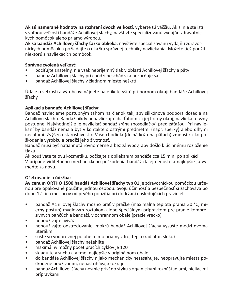**Ak sú namerané hodnoty na rozhraní dvoch veľkostí**, vyberte tú väčšiu. Ak si nie ste istí s voľbou veľkosti bandáže Achillovej šľachy, navštívte špecializovanú výdajňu zdravotníckych pomôcok alebo priamo výrobcu.

**Ak sa bandáž Achillovej šľachy ťažko oblieka**, navštívte špecializovanú výdajňu zdravotníckych pomôcok a požiadajte o ukážku správnej techniky navliekania. Môžete tiež použiť niektorú z navliekacích pomôcok.

# **Správne zvolená veľkosť:**

- pociťujte znateľný, nie však nepríjemný tlak v oblasti Achillovej šľachy a päty
- bandáž Achillovej šľachy pri chôdzi neschádza a nezhrňuje sa
- bandáž Achillovej šľachy v žiadnom mieste neškrtí

Údaje o veľkosti a výrobcovi nájdete na etikete všité pri hornom okraji bandáže Achillovej šľachy.

# **Aplikácia bandáže Achillovej šľachy:**

Bandáž navlečieme postupným ťahom na členok tak, aby silikónová podpora dosadla na Achillovu šľachu. Bandáž nikdy nenavliekajte iba ťahom za jej horný okraj, navliekajte vždy postupne. Najvhodnejšie je navliekať bandáž zrána (posediačky) pred záťažou. Pri navliekaní by bandáž nemala byť v kontakte s ostrými predmetmi (napr. šperky) alebo dlhými nechtami. Zvýšená starostlivosť o Vaše chodidlá (drsná koža na pätách) zmenší riziko poškodenia výrobku a predĺži jeho životnosť.

Bandáž musí byť natiahnutá rovnomerne a bez záhybov, aby došlo k účinnému rozloženie tlaku.

Ak používate telovú kozmetiku, počkajte s obliekaním bandáže cca 15 min. po aplikácii. V prípade viditeľného mechanického poškodenia bandáž ďalej nenoste a najlepšie ju vymeňte za novú.

# **Ošetrovanie a údržba:**

**Avicenum ORTHO 1500 bandáž Achillovej šľachy typ 01** je zdravotníckou pomôckou určenou pre opakované použitie jednou osobou. Svoju účinnosť a bezpečnosť si zachováva po dobu 12-tich mesiacov od prvého použitia pri dodržaní nasledujúcich pravidiel:

- bandáž Achillovej šľachy možno prať v práčke (maximálna teplota prania 30 °C, mierny postup) mydlovým roztokom alebo špeciálnym prípravkom pre pranie kompresívnych pančúch a bandáží, v ochrannom obale (pracie vrecko)
- nepoužívajte aviváž
- nepoužívajte odstreďovanie, mokrú bandáž Achillovej šľachy vysušte medzi dvoma uterákmi
- sušte vo vodorovnej polohe mimo priamy zdroj tepla (radiátor, slnko)
- bandáž Achillovej šľachy nežehlite
- maximálny možný počet pracích cyklov je 120
- skladujte v suchu a v tme, najlepšie v originálnom obale
- do bandáže Achillovej šľachy nijako mechanicky nezasahujte, neopravujte miesta poškodené používaním, nenastrihávajte okraje
- bandáž Achillovej šľachy nesmie prísť do styku s organickými rozpúšťadlami, bieliacimi prípravkami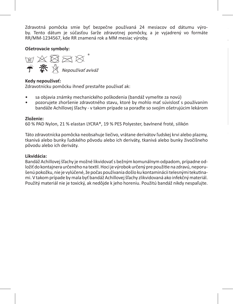Zdravotná pomôcka smie byť bezpečne používaná 24 mesiacov od dátumu výroby. Tento dátum je súčasťou šarže zdravotnej pomôcky, a je vyjadrený vo formáte RR/MM-1234567, kde RR znamená rok a MM mesiac výroby.

**je používateľ a/alebo pacient usadený:**

# **Ošetrovacie symboly:**



# **Kedy nepoužívať:**

Zdravotnícku pomôcku ihneď prestaňte používať ak:

- sa objavia známky mechanického poškodenia (bandáž vymeňte za novú)
- pozorujete zhoršenie zdravotného stavu, ktoré by mohlo mať súvislosť s používaním bandáže Achillovej šľachy - v takom prípade sa poraďte so svojím ošetrujúcim lekárom

#### **Zloženie:**

60 % PAD Nylon, 21 % elastan LYCRA®, 19 % PES Polyester, bavlnené froté, silikón

Táto zdravotnícka pomôcka neobsahuje liečivo, vrátane derivátov ľudskej krvi alebo plazmy, tkanivá alebo bunky ľudského pôvodu alebo ich deriváty, tkanivá alebo bunky živočíšneho pôvodu alebo ich deriváty.

#### **Likvidácia:**

Bandáž Achillovej šľachy je možné likvidovať s bežným komunálnym odpadom, prípadne odložiť do kontajnera určeného na textil. Hoci je výrobok určený pre použitie na zdravú, neporušenú pokožku, nie je vylúčené, že počas používania došlo ku kontaminácii telesnými tekutinami. V takom prípade by mala byť bandáž Achillovej šľachy zlikvidovaná ako infekčný materiál. Použitý materiál nie je toxický, ak nedôjde k jeho horeniu. Použitú bandáž nikdy nespaľujte.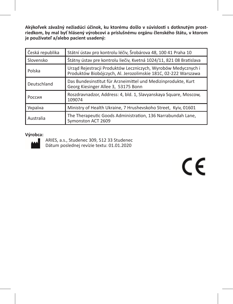**Akýkoľvek závažný nežiadúci účinok, ku ktorému došlo v súvislosti s dotknutým prostriedkom, by mal byť hlásený výrobcovi a príslušnému orgánu členského štátu, v ktorom je používateľ a/alebo pacient usadený:**

| Česká republika | Státní ústav pro kontrolu léčiv, Šrobárova 48, 100 41 Praha 10                                                                  |  |
|-----------------|---------------------------------------------------------------------------------------------------------------------------------|--|
| Slovensko       | Štátny ústav pre kontrolu liečiv, Kvetná 1024/11, 821 08 Bratislava                                                             |  |
| Polska          | Urząd Rejestracji Produktów Leczniczych, Wyrobów Medycznych i<br>Produktów Biobójczych, Al. Jerozolimskie 181C, 02-222 Warszawa |  |
| Deutschland     | Das Bundesinstitut für Arzneimittel und Medizinprodukte, Kurt<br>Georg Kiesinger Allee 3, 53175 Bonn                            |  |
| Россия          | Roszdravnadzor, Address: 4, bld. 1, Slavyanskaya Square, Moscow,<br>109074                                                      |  |
| Україна         | Ministry of Health Ukraine, 7 Hrushevskoho Street, Kyiv, 01601                                                                  |  |
| Australia       | The Therapeutic Goods Administration, 136 Narrabundah Lane,<br>Symonston ACT 2609                                               |  |

#### **Výrobca:**



ARIES, a.s., Studenec 309, 512 33 Studenec Dátum poslednej revízie textu: 01.01.2020

 $\epsilon$